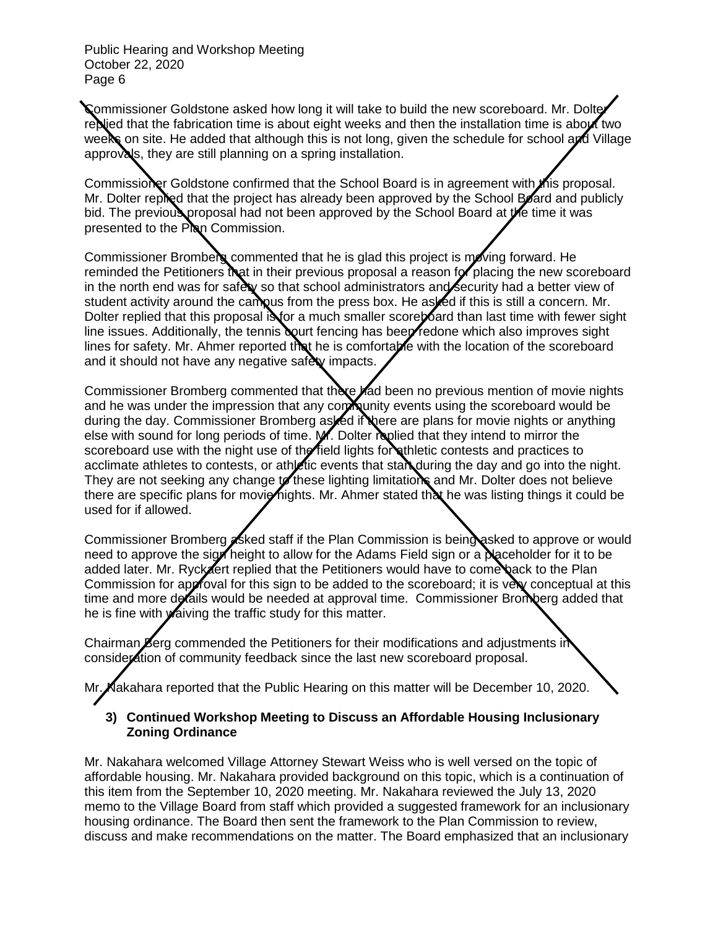Commissioner Goldstone asked how long it will take to build the new scoreboard. Mr. Dolter replied that the fabrication time is about eight weeks and then the installation time is about two weeks on site. He added that although this is not long, given the schedule for school and Village approvals, they are still planning on a spring installation.

Commissioner Goldstone confirmed that the School Board is in agreement with this proposal. Mr. Dolter replied that the project has already been approved by the School Board and publicly bid. The previous proposal had not been approved by the School Board at the time it was presented to the Plan Commission.

Commissioner Bromberg commented that he is glad this project is moving forward. He reminded the Petitioners that in their previous proposal a reason for placing the new scoreboard in the north end was for safety so that school administrators and security had a better view of student activity around the campus from the press box. He as fed if this is still a concern. Mr. Dolter replied that this proposal is for a much smaller score bard than last time with fewer sight line issues. Additionally, the tennis court fencing has been redone which also improves sight lines for safety. Mr. Ahmer reported that he is comfortable with the location of the scoreboard and it should not have any negative safety impacts.

Commissioner Bromberg commented that there had been no previous mention of movie nights and he was under the impression that any com nuity events using the scoreboard would be during the day. Commissioner Bromberg asked if there are plans for movie nights or anything else with sound for long periods of time. M. Dolter replied that they intend to mirror the scoreboard use with the night use of the field lights for athletic contests and practices to acclimate athletes to contests, or athletic events that starduring the day and go into the night. They are not seeking any change to these lighting limitations and Mr. Dolter does not believe there are specific plans for movie nights. Mr. Ahmer stated that he was listing things it could be used for if allowed.

Commissioner Bromberg **asked staff if the Plan Commission is being asked to approve or would** need to approve the sign height to allow for the Adams Field sign or a **Naceholder for it to be** added later. Mr. Ryckaert replied that the Petitioners would have to come back to the Plan Commission for approval for this sign to be added to the scoreboard; it is very conceptual at this time and more details would be needed at approval time. Commissioner Bromberg added that he is fine with **w**aiving the traffic study for this matter.

Chairman **B**erg commended the Petitioners for their modifications and adjustments in consideration of community feedback since the last new scoreboard proposal.

Mr. Nakahara reported that the Public Hearing on this matter will be December 10, 2020.

## **3) Continued Workshop Meeting to Discuss an Affordable Housing Inclusionary Zoning Ordinance**

Mr. Nakahara welcomed Village Attorney Stewart Weiss who is well versed on the topic of affordable housing. Mr. Nakahara provided background on this topic, which is a continuation of this item from the September 10, 2020 meeting. Mr. Nakahara reviewed the July 13, 2020 memo to the Village Board from staff which provided a suggested framework for an inclusionary housing ordinance. The Board then sent the framework to the Plan Commission to review, discuss and make recommendations on the matter. The Board emphasized that an inclusionary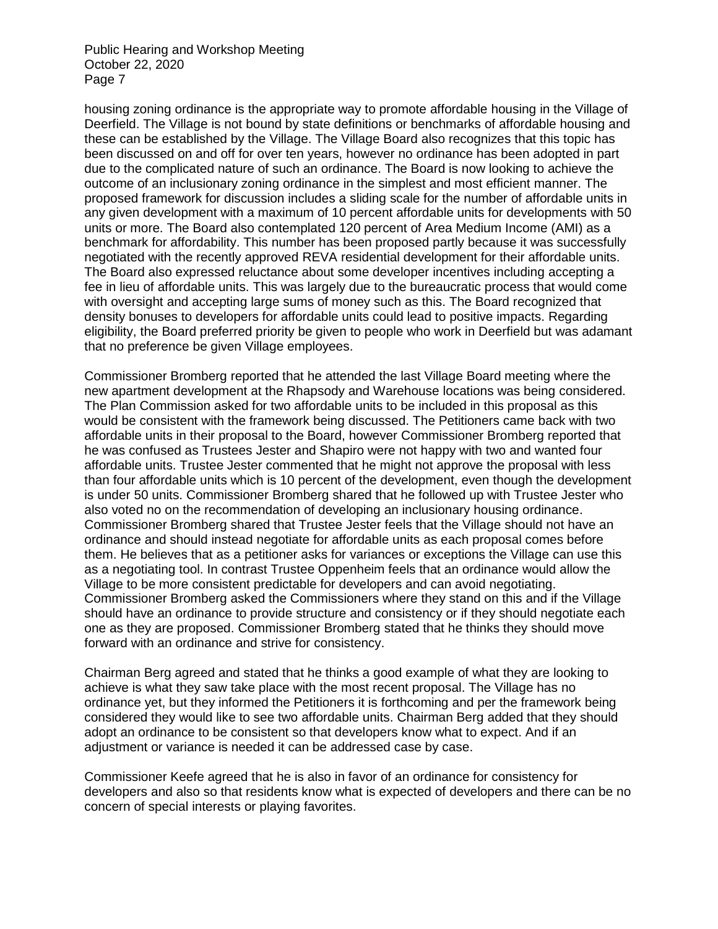housing zoning ordinance is the appropriate way to promote affordable housing in the Village of Deerfield. The Village is not bound by state definitions or benchmarks of affordable housing and these can be established by the Village. The Village Board also recognizes that this topic has been discussed on and off for over ten years, however no ordinance has been adopted in part due to the complicated nature of such an ordinance. The Board is now looking to achieve the outcome of an inclusionary zoning ordinance in the simplest and most efficient manner. The proposed framework for discussion includes a sliding scale for the number of affordable units in any given development with a maximum of 10 percent affordable units for developments with 50 units or more. The Board also contemplated 120 percent of Area Medium Income (AMI) as a benchmark for affordability. This number has been proposed partly because it was successfully negotiated with the recently approved REVA residential development for their affordable units. The Board also expressed reluctance about some developer incentives including accepting a fee in lieu of affordable units. This was largely due to the bureaucratic process that would come with oversight and accepting large sums of money such as this. The Board recognized that density bonuses to developers for affordable units could lead to positive impacts. Regarding eligibility, the Board preferred priority be given to people who work in Deerfield but was adamant that no preference be given Village employees.

Commissioner Bromberg reported that he attended the last Village Board meeting where the new apartment development at the Rhapsody and Warehouse locations was being considered. The Plan Commission asked for two affordable units to be included in this proposal as this would be consistent with the framework being discussed. The Petitioners came back with two affordable units in their proposal to the Board, however Commissioner Bromberg reported that he was confused as Trustees Jester and Shapiro were not happy with two and wanted four affordable units. Trustee Jester commented that he might not approve the proposal with less than four affordable units which is 10 percent of the development, even though the development is under 50 units. Commissioner Bromberg shared that he followed up with Trustee Jester who also voted no on the recommendation of developing an inclusionary housing ordinance. Commissioner Bromberg shared that Trustee Jester feels that the Village should not have an ordinance and should instead negotiate for affordable units as each proposal comes before them. He believes that as a petitioner asks for variances or exceptions the Village can use this as a negotiating tool. In contrast Trustee Oppenheim feels that an ordinance would allow the Village to be more consistent predictable for developers and can avoid negotiating. Commissioner Bromberg asked the Commissioners where they stand on this and if the Village should have an ordinance to provide structure and consistency or if they should negotiate each one as they are proposed. Commissioner Bromberg stated that he thinks they should move forward with an ordinance and strive for consistency.

Chairman Berg agreed and stated that he thinks a good example of what they are looking to achieve is what they saw take place with the most recent proposal. The Village has no ordinance yet, but they informed the Petitioners it is forthcoming and per the framework being considered they would like to see two affordable units. Chairman Berg added that they should adopt an ordinance to be consistent so that developers know what to expect. And if an adjustment or variance is needed it can be addressed case by case.

Commissioner Keefe agreed that he is also in favor of an ordinance for consistency for developers and also so that residents know what is expected of developers and there can be no concern of special interests or playing favorites.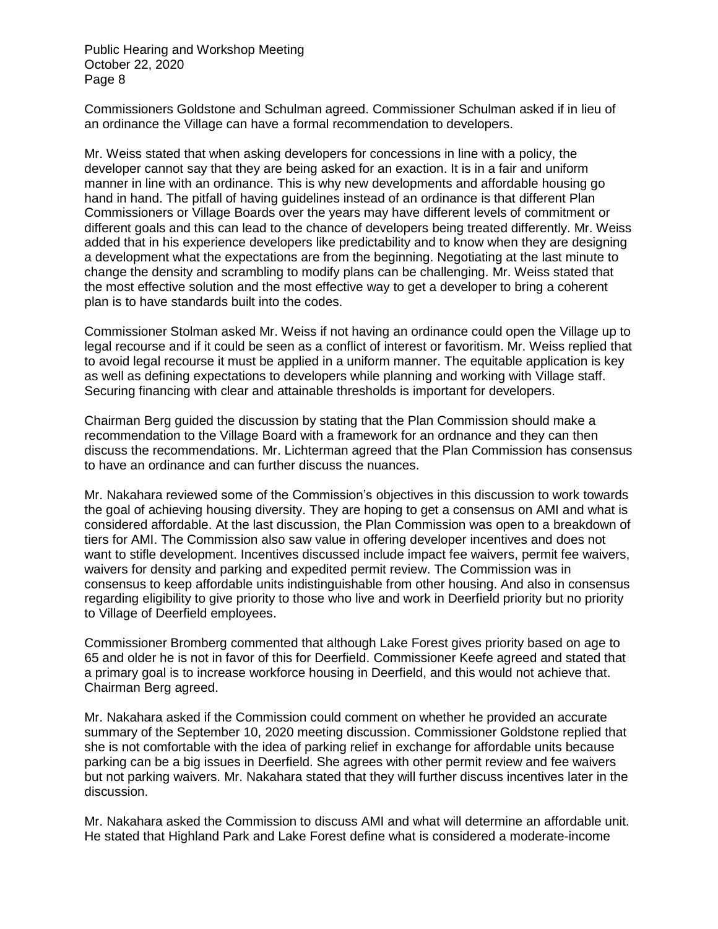Commissioners Goldstone and Schulman agreed. Commissioner Schulman asked if in lieu of an ordinance the Village can have a formal recommendation to developers.

Mr. Weiss stated that when asking developers for concessions in line with a policy, the developer cannot say that they are being asked for an exaction. It is in a fair and uniform manner in line with an ordinance. This is why new developments and affordable housing go hand in hand. The pitfall of having guidelines instead of an ordinance is that different Plan Commissioners or Village Boards over the years may have different levels of commitment or different goals and this can lead to the chance of developers being treated differently. Mr. Weiss added that in his experience developers like predictability and to know when they are designing a development what the expectations are from the beginning. Negotiating at the last minute to change the density and scrambling to modify plans can be challenging. Mr. Weiss stated that the most effective solution and the most effective way to get a developer to bring a coherent plan is to have standards built into the codes.

Commissioner Stolman asked Mr. Weiss if not having an ordinance could open the Village up to legal recourse and if it could be seen as a conflict of interest or favoritism. Mr. Weiss replied that to avoid legal recourse it must be applied in a uniform manner. The equitable application is key as well as defining expectations to developers while planning and working with Village staff. Securing financing with clear and attainable thresholds is important for developers.

Chairman Berg guided the discussion by stating that the Plan Commission should make a recommendation to the Village Board with a framework for an ordnance and they can then discuss the recommendations. Mr. Lichterman agreed that the Plan Commission has consensus to have an ordinance and can further discuss the nuances.

Mr. Nakahara reviewed some of the Commission's objectives in this discussion to work towards the goal of achieving housing diversity. They are hoping to get a consensus on AMI and what is considered affordable. At the last discussion, the Plan Commission was open to a breakdown of tiers for AMI. The Commission also saw value in offering developer incentives and does not want to stifle development. Incentives discussed include impact fee waivers, permit fee waivers, waivers for density and parking and expedited permit review. The Commission was in consensus to keep affordable units indistinguishable from other housing. And also in consensus regarding eligibility to give priority to those who live and work in Deerfield priority but no priority to Village of Deerfield employees.

Commissioner Bromberg commented that although Lake Forest gives priority based on age to 65 and older he is not in favor of this for Deerfield. Commissioner Keefe agreed and stated that a primary goal is to increase workforce housing in Deerfield, and this would not achieve that. Chairman Berg agreed.

Mr. Nakahara asked if the Commission could comment on whether he provided an accurate summary of the September 10, 2020 meeting discussion. Commissioner Goldstone replied that she is not comfortable with the idea of parking relief in exchange for affordable units because parking can be a big issues in Deerfield. She agrees with other permit review and fee waivers but not parking waivers. Mr. Nakahara stated that they will further discuss incentives later in the discussion.

Mr. Nakahara asked the Commission to discuss AMI and what will determine an affordable unit. He stated that Highland Park and Lake Forest define what is considered a moderate-income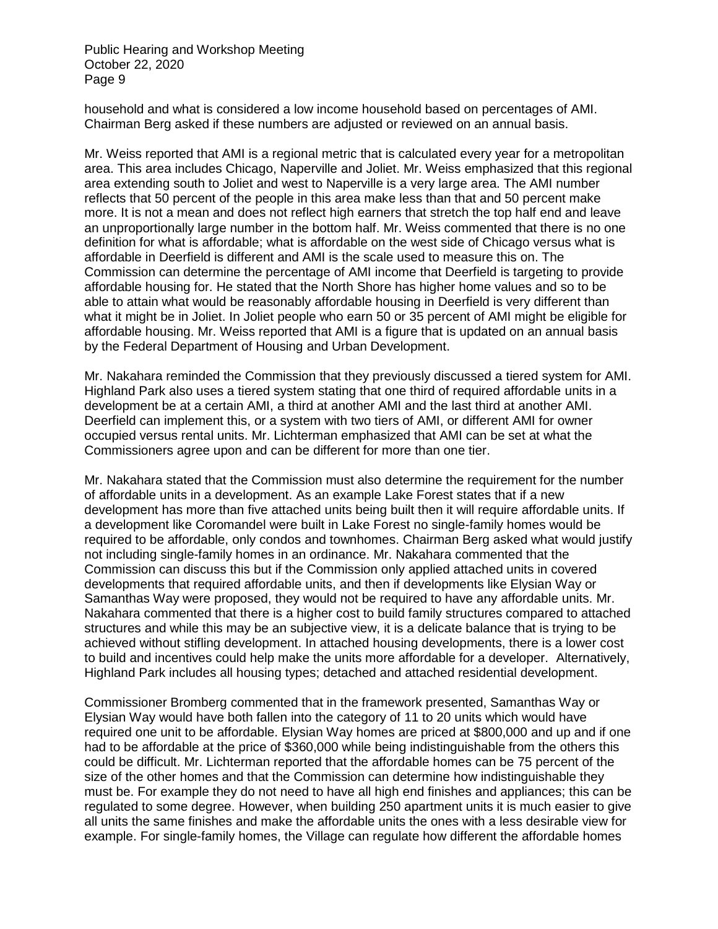household and what is considered a low income household based on percentages of AMI. Chairman Berg asked if these numbers are adjusted or reviewed on an annual basis.

Mr. Weiss reported that AMI is a regional metric that is calculated every year for a metropolitan area. This area includes Chicago, Naperville and Joliet. Mr. Weiss emphasized that this regional area extending south to Joliet and west to Naperville is a very large area. The AMI number reflects that 50 percent of the people in this area make less than that and 50 percent make more. It is not a mean and does not reflect high earners that stretch the top half end and leave an unproportionally large number in the bottom half. Mr. Weiss commented that there is no one definition for what is affordable; what is affordable on the west side of Chicago versus what is affordable in Deerfield is different and AMI is the scale used to measure this on. The Commission can determine the percentage of AMI income that Deerfield is targeting to provide affordable housing for. He stated that the North Shore has higher home values and so to be able to attain what would be reasonably affordable housing in Deerfield is very different than what it might be in Joliet. In Joliet people who earn 50 or 35 percent of AMI might be eligible for affordable housing. Mr. Weiss reported that AMI is a figure that is updated on an annual basis by the Federal Department of Housing and Urban Development.

Mr. Nakahara reminded the Commission that they previously discussed a tiered system for AMI. Highland Park also uses a tiered system stating that one third of required affordable units in a development be at a certain AMI, a third at another AMI and the last third at another AMI. Deerfield can implement this, or a system with two tiers of AMI, or different AMI for owner occupied versus rental units. Mr. Lichterman emphasized that AMI can be set at what the Commissioners agree upon and can be different for more than one tier.

Mr. Nakahara stated that the Commission must also determine the requirement for the number of affordable units in a development. As an example Lake Forest states that if a new development has more than five attached units being built then it will require affordable units. If a development like Coromandel were built in Lake Forest no single-family homes would be required to be affordable, only condos and townhomes. Chairman Berg asked what would justify not including single-family homes in an ordinance. Mr. Nakahara commented that the Commission can discuss this but if the Commission only applied attached units in covered developments that required affordable units, and then if developments like Elysian Way or Samanthas Way were proposed, they would not be required to have any affordable units. Mr. Nakahara commented that there is a higher cost to build family structures compared to attached structures and while this may be an subjective view, it is a delicate balance that is trying to be achieved without stifling development. In attached housing developments, there is a lower cost to build and incentives could help make the units more affordable for a developer. Alternatively, Highland Park includes all housing types; detached and attached residential development.

Commissioner Bromberg commented that in the framework presented, Samanthas Way or Elysian Way would have both fallen into the category of 11 to 20 units which would have required one unit to be affordable. Elysian Way homes are priced at \$800,000 and up and if one had to be affordable at the price of \$360,000 while being indistinguishable from the others this could be difficult. Mr. Lichterman reported that the affordable homes can be 75 percent of the size of the other homes and that the Commission can determine how indistinguishable they must be. For example they do not need to have all high end finishes and appliances; this can be regulated to some degree. However, when building 250 apartment units it is much easier to give all units the same finishes and make the affordable units the ones with a less desirable view for example. For single-family homes, the Village can regulate how different the affordable homes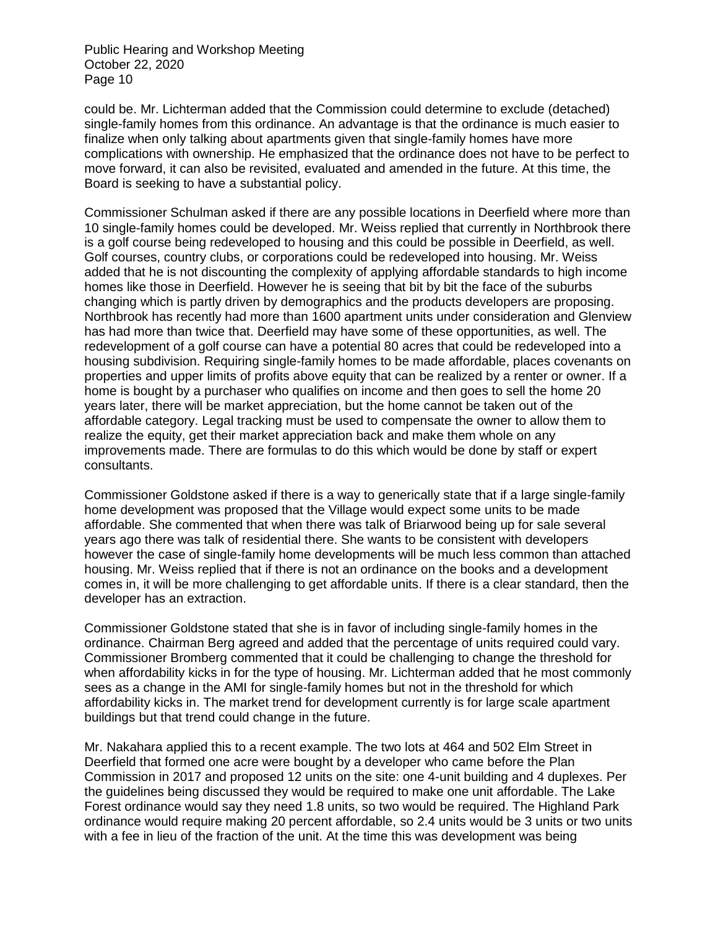could be. Mr. Lichterman added that the Commission could determine to exclude (detached) single-family homes from this ordinance. An advantage is that the ordinance is much easier to finalize when only talking about apartments given that single-family homes have more complications with ownership. He emphasized that the ordinance does not have to be perfect to move forward, it can also be revisited, evaluated and amended in the future. At this time, the Board is seeking to have a substantial policy.

Commissioner Schulman asked if there are any possible locations in Deerfield where more than 10 single-family homes could be developed. Mr. Weiss replied that currently in Northbrook there is a golf course being redeveloped to housing and this could be possible in Deerfield, as well. Golf courses, country clubs, or corporations could be redeveloped into housing. Mr. Weiss added that he is not discounting the complexity of applying affordable standards to high income homes like those in Deerfield. However he is seeing that bit by bit the face of the suburbs changing which is partly driven by demographics and the products developers are proposing. Northbrook has recently had more than 1600 apartment units under consideration and Glenview has had more than twice that. Deerfield may have some of these opportunities, as well. The redevelopment of a golf course can have a potential 80 acres that could be redeveloped into a housing subdivision. Requiring single-family homes to be made affordable, places covenants on properties and upper limits of profits above equity that can be realized by a renter or owner. If a home is bought by a purchaser who qualifies on income and then goes to sell the home 20 years later, there will be market appreciation, but the home cannot be taken out of the affordable category. Legal tracking must be used to compensate the owner to allow them to realize the equity, get their market appreciation back and make them whole on any improvements made. There are formulas to do this which would be done by staff or expert consultants.

Commissioner Goldstone asked if there is a way to generically state that if a large single-family home development was proposed that the Village would expect some units to be made affordable. She commented that when there was talk of Briarwood being up for sale several years ago there was talk of residential there. She wants to be consistent with developers however the case of single-family home developments will be much less common than attached housing. Mr. Weiss replied that if there is not an ordinance on the books and a development comes in, it will be more challenging to get affordable units. If there is a clear standard, then the developer has an extraction.

Commissioner Goldstone stated that she is in favor of including single-family homes in the ordinance. Chairman Berg agreed and added that the percentage of units required could vary. Commissioner Bromberg commented that it could be challenging to change the threshold for when affordability kicks in for the type of housing. Mr. Lichterman added that he most commonly sees as a change in the AMI for single-family homes but not in the threshold for which affordability kicks in. The market trend for development currently is for large scale apartment buildings but that trend could change in the future.

Mr. Nakahara applied this to a recent example. The two lots at 464 and 502 Elm Street in Deerfield that formed one acre were bought by a developer who came before the Plan Commission in 2017 and proposed 12 units on the site: one 4-unit building and 4 duplexes. Per the guidelines being discussed they would be required to make one unit affordable. The Lake Forest ordinance would say they need 1.8 units, so two would be required. The Highland Park ordinance would require making 20 percent affordable, so 2.4 units would be 3 units or two units with a fee in lieu of the fraction of the unit. At the time this was development was being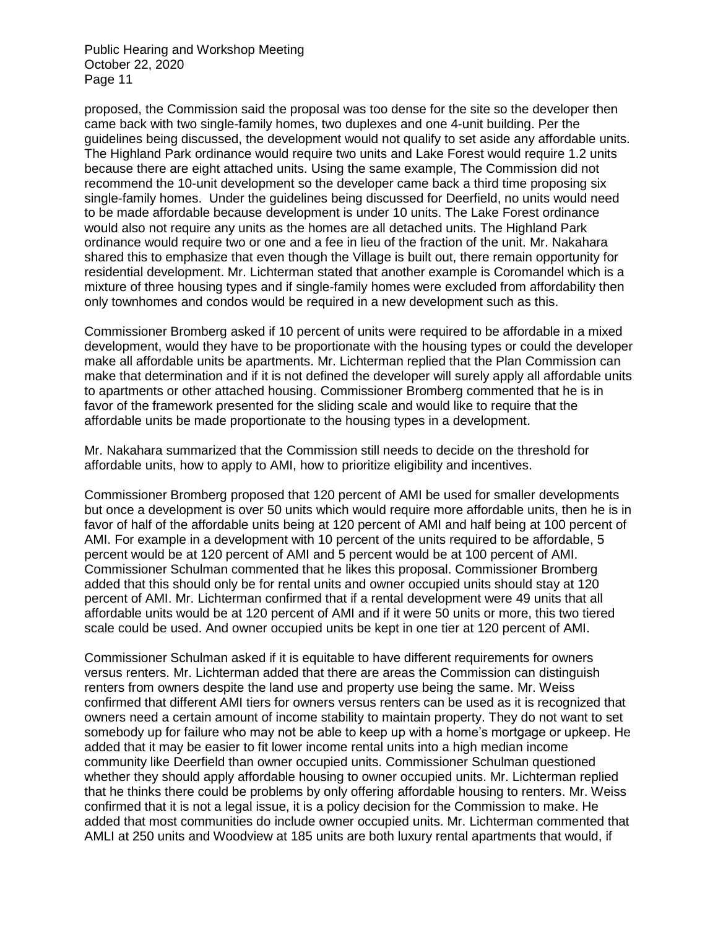proposed, the Commission said the proposal was too dense for the site so the developer then came back with two single-family homes, two duplexes and one 4-unit building. Per the guidelines being discussed, the development would not qualify to set aside any affordable units. The Highland Park ordinance would require two units and Lake Forest would require 1.2 units because there are eight attached units. Using the same example, The Commission did not recommend the 10-unit development so the developer came back a third time proposing six single-family homes. Under the guidelines being discussed for Deerfield, no units would need to be made affordable because development is under 10 units. The Lake Forest ordinance would also not require any units as the homes are all detached units. The Highland Park ordinance would require two or one and a fee in lieu of the fraction of the unit. Mr. Nakahara shared this to emphasize that even though the Village is built out, there remain opportunity for residential development. Mr. Lichterman stated that another example is Coromandel which is a mixture of three housing types and if single-family homes were excluded from affordability then only townhomes and condos would be required in a new development such as this.

Commissioner Bromberg asked if 10 percent of units were required to be affordable in a mixed development, would they have to be proportionate with the housing types or could the developer make all affordable units be apartments. Mr. Lichterman replied that the Plan Commission can make that determination and if it is not defined the developer will surely apply all affordable units to apartments or other attached housing. Commissioner Bromberg commented that he is in favor of the framework presented for the sliding scale and would like to require that the affordable units be made proportionate to the housing types in a development.

Mr. Nakahara summarized that the Commission still needs to decide on the threshold for affordable units, how to apply to AMI, how to prioritize eligibility and incentives.

Commissioner Bromberg proposed that 120 percent of AMI be used for smaller developments but once a development is over 50 units which would require more affordable units, then he is in favor of half of the affordable units being at 120 percent of AMI and half being at 100 percent of AMI. For example in a development with 10 percent of the units required to be affordable, 5 percent would be at 120 percent of AMI and 5 percent would be at 100 percent of AMI. Commissioner Schulman commented that he likes this proposal. Commissioner Bromberg added that this should only be for rental units and owner occupied units should stay at 120 percent of AMI. Mr. Lichterman confirmed that if a rental development were 49 units that all affordable units would be at 120 percent of AMI and if it were 50 units or more, this two tiered scale could be used. And owner occupied units be kept in one tier at 120 percent of AMI.

Commissioner Schulman asked if it is equitable to have different requirements for owners versus renters. Mr. Lichterman added that there are areas the Commission can distinguish renters from owners despite the land use and property use being the same. Mr. Weiss confirmed that different AMI tiers for owners versus renters can be used as it is recognized that owners need a certain amount of income stability to maintain property. They do not want to set somebody up for failure who may not be able to keep up with a home's mortgage or upkeep. He added that it may be easier to fit lower income rental units into a high median income community like Deerfield than owner occupied units. Commissioner Schulman questioned whether they should apply affordable housing to owner occupied units. Mr. Lichterman replied that he thinks there could be problems by only offering affordable housing to renters. Mr. Weiss confirmed that it is not a legal issue, it is a policy decision for the Commission to make. He added that most communities do include owner occupied units. Mr. Lichterman commented that AMLI at 250 units and Woodview at 185 units are both luxury rental apartments that would, if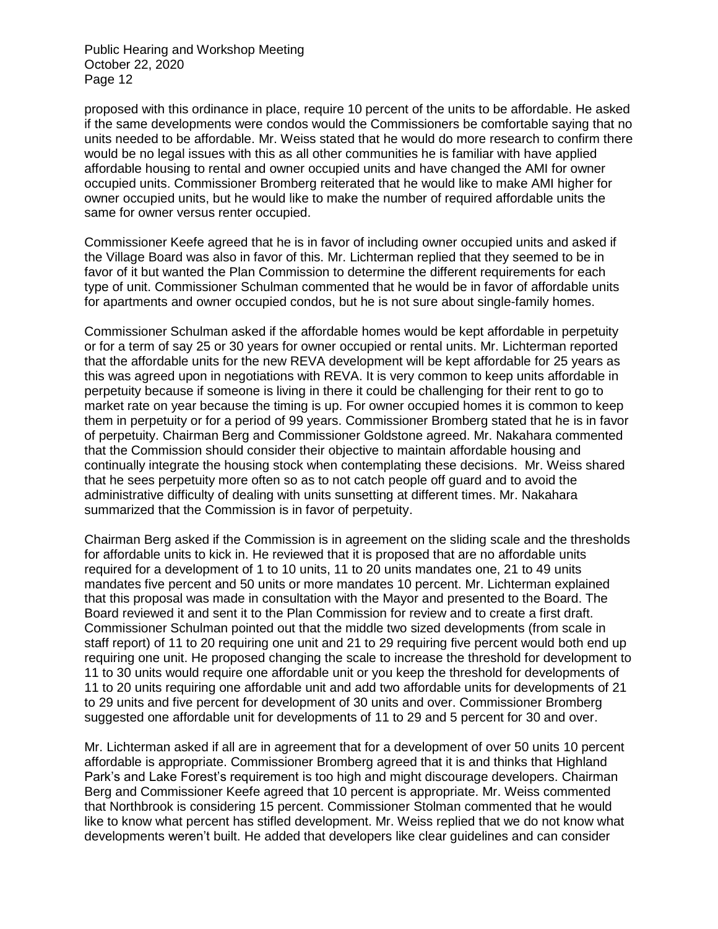proposed with this ordinance in place, require 10 percent of the units to be affordable. He asked if the same developments were condos would the Commissioners be comfortable saying that no units needed to be affordable. Mr. Weiss stated that he would do more research to confirm there would be no legal issues with this as all other communities he is familiar with have applied affordable housing to rental and owner occupied units and have changed the AMI for owner occupied units. Commissioner Bromberg reiterated that he would like to make AMI higher for owner occupied units, but he would like to make the number of required affordable units the same for owner versus renter occupied.

Commissioner Keefe agreed that he is in favor of including owner occupied units and asked if the Village Board was also in favor of this. Mr. Lichterman replied that they seemed to be in favor of it but wanted the Plan Commission to determine the different requirements for each type of unit. Commissioner Schulman commented that he would be in favor of affordable units for apartments and owner occupied condos, but he is not sure about single-family homes.

Commissioner Schulman asked if the affordable homes would be kept affordable in perpetuity or for a term of say 25 or 30 years for owner occupied or rental units. Mr. Lichterman reported that the affordable units for the new REVA development will be kept affordable for 25 years as this was agreed upon in negotiations with REVA. It is very common to keep units affordable in perpetuity because if someone is living in there it could be challenging for their rent to go to market rate on year because the timing is up. For owner occupied homes it is common to keep them in perpetuity or for a period of 99 years. Commissioner Bromberg stated that he is in favor of perpetuity. Chairman Berg and Commissioner Goldstone agreed. Mr. Nakahara commented that the Commission should consider their objective to maintain affordable housing and continually integrate the housing stock when contemplating these decisions. Mr. Weiss shared that he sees perpetuity more often so as to not catch people off guard and to avoid the administrative difficulty of dealing with units sunsetting at different times. Mr. Nakahara summarized that the Commission is in favor of perpetuity.

Chairman Berg asked if the Commission is in agreement on the sliding scale and the thresholds for affordable units to kick in. He reviewed that it is proposed that are no affordable units required for a development of 1 to 10 units, 11 to 20 units mandates one, 21 to 49 units mandates five percent and 50 units or more mandates 10 percent. Mr. Lichterman explained that this proposal was made in consultation with the Mayor and presented to the Board. The Board reviewed it and sent it to the Plan Commission for review and to create a first draft. Commissioner Schulman pointed out that the middle two sized developments (from scale in staff report) of 11 to 20 requiring one unit and 21 to 29 requiring five percent would both end up requiring one unit. He proposed changing the scale to increase the threshold for development to 11 to 30 units would require one affordable unit or you keep the threshold for developments of 11 to 20 units requiring one affordable unit and add two affordable units for developments of 21 to 29 units and five percent for development of 30 units and over. Commissioner Bromberg suggested one affordable unit for developments of 11 to 29 and 5 percent for 30 and over.

Mr. Lichterman asked if all are in agreement that for a development of over 50 units 10 percent affordable is appropriate. Commissioner Bromberg agreed that it is and thinks that Highland Park's and Lake Forest's requirement is too high and might discourage developers. Chairman Berg and Commissioner Keefe agreed that 10 percent is appropriate. Mr. Weiss commented that Northbrook is considering 15 percent. Commissioner Stolman commented that he would like to know what percent has stifled development. Mr. Weiss replied that we do not know what developments weren't built. He added that developers like clear guidelines and can consider